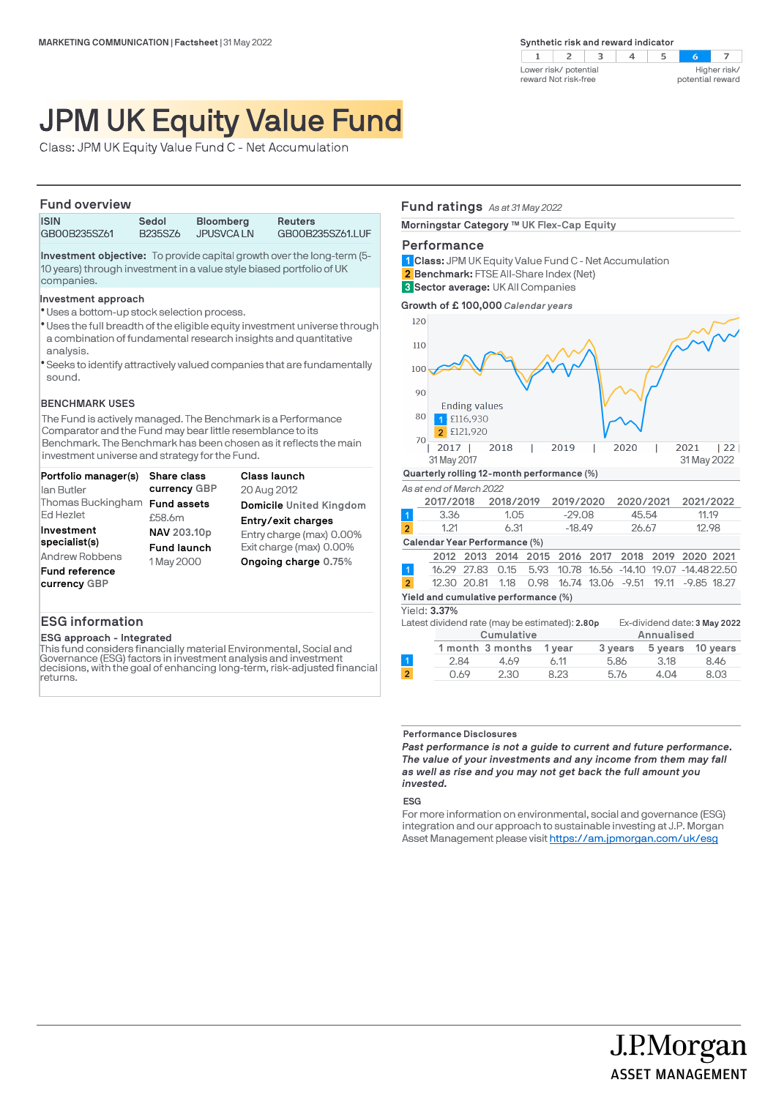$\overline{z}$  $\mathbf{1}$  $\overline{z}$  $\overline{\mathbf{3}}$  $\overline{4}$  $\mathbb{R}$  $5\overline{5}$  $\sim$ Higher risk/ Lower risk/ potential reward Not risk-free potential reward

# JPM UK Equity Value Fund

Class: JPM UK Equity Value Fund C - Net Accumulation

### **Fund overview**

| .            |                      |                  |                  |
|--------------|----------------------|------------------|------------------|
| <b>ISIN</b>  | Sedol                | <b>Bloomberg</b> | <b>Reuters</b>   |
| GB00B235SZ61 | B <sub>235</sub> SZ6 | JPUSVCA LN       | GB00B235SZ61.LUF |
|              |                      |                  |                  |

**Investment objective:** To provide capital growth over the long-term (5- 10 years) through investment in a value style biased portfolio of UK companies.

### **Investment approach**

- Uses a bottom-up stock selection process. l
- \* Uses the full breadth of the eligible equity investment universe through a combination of fundamental research insights and quantitative analysis.
- Seeks to identify attractively valued companies that are fundamentally l sound.

### **BENCHMARK USES**

The Fund is actively managed. The Benchmark is a Performance Comparator and the Fund may bear little resemblance to its Benchmark. The Benchmark has been chosen as it reflects the main investment universe and strategy for the Fund.

| Portfolio manager(s)          | Share class        | Class launch             |
|-------------------------------|--------------------|--------------------------|
| lan Butler                    | currency GBP       | 20 Aug 2012              |
| Thomas Buckingham Fund assets |                    | Domicile United Kingdom  |
| <b>Ed Hezlet</b>              | £58.6m             | Entry/exit charges       |
| Investment                    | NAV 203.10p        | Entry charge (max) 0.00% |
| specialist(s)                 | <b>Fund launch</b> | Exit charge (max) 0.00%  |
| <b>Andrew Robbens</b>         | 1 May 2000         | Ongoing charge 0.75%     |
| <b>Fund reference</b>         |                    |                          |
| currency GBP                  |                    |                          |

### **ESG information**

### **ESG approach - Integrated**

This fund considers financially material Environmental, Social and Governance (ESG) factors in investment analysis and investment decisions, with the goal of enhancing long-term, risk-adjusted financial returns.

### **Fund ratings** *As at 31 May 2022*

**Morningstar Category ™ UK Flex-Cap Equity** 

### **Performance**

**Class:** JPM UK Equity Value Fund C - Net Accumulation **1 Benchmark:** FTSE All-Share Index (Net) **2**

**Sector average:** UK All Companies **3**

**Growth of £ 100,000** *Calendar years*



**Performance Disclosures**

*Past performance is not a guide to current and future performance. The value of your investments and any income from them may fall as well as rise and you may not get back the full amount you invested.* 

### **ESG**

For more information on environmental, social and governance (ESG) integration and our approach to sustainable investing at J.P. Morgan Asset Management please visit https://am.jpmorgan.com/uk/esg

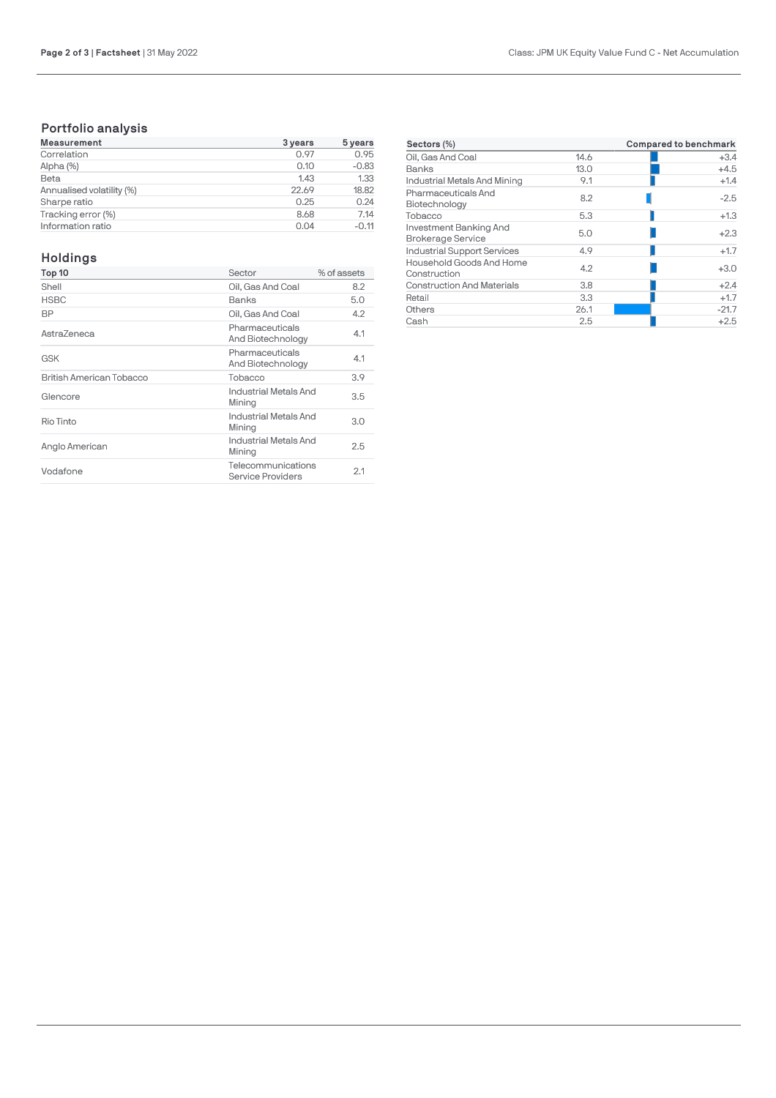### **Portfolio analysis**

| <b>Measurement</b>        | 3 years | 5 years |
|---------------------------|---------|---------|
| Correlation               | 0.97    | 0.95    |
| Alpha (%)                 | 0.10    | $-0.83$ |
| Beta                      | 1.43    | 1.33    |
| Annualised volatility (%) | 22.69   | 18.82   |
| Sharpe ratio              | 0.25    | 0.24    |
| Tracking error (%)        | 8.68    | 7.14    |
| Information ratio         | 0.04    | $-0.11$ |

## **Holdings**

| Top 10                   | Sector                                  | % of assets |
|--------------------------|-----------------------------------------|-------------|
| Shell                    | Oil, Gas And Coal                       | 8.2         |
| <b>HSBC</b>              | Banks                                   | 5.0         |
| BP                       | Oil. Gas And Coal                       | 4.2         |
| AstraZeneca              | Pharmaceuticals<br>And Biotechnology    | 4.1         |
| <b>GSK</b>               | Pharmaceuticals<br>And Biotechnology    | 4.1         |
| British American Tobacco | Tobacco                                 | 3.9         |
| Glencore                 | Industrial Metals And<br>Mining         | 3.5         |
| Rio Tinto                | Industrial Metals And<br>Mining         | 3.0         |
| Anglo American           | Industrial Metals And<br>Mining         | 2.5         |
| Vodafone                 | Telecommunications<br>Service Providers | 2.1         |
|                          |                                         |             |

| Sectors (%)                                        | Compared to benchmark |         |
|----------------------------------------------------|-----------------------|---------|
| Oil, Gas And Coal                                  | 14.6                  | $+3.4$  |
| Banks                                              | 13.0                  | $+4.5$  |
| Industrial Metals And Mining                       | 9.1                   | $+1.4$  |
| Pharmaceuticals And<br>Biotechnology               | 8.2                   | $-2.5$  |
| Tobacco                                            | 5.3                   | $+1.3$  |
| Investment Banking And<br><b>Brokerage Service</b> | 5.0                   | $+2.3$  |
| <b>Industrial Support Services</b>                 | 4.9                   | $+1.7$  |
| Household Goods And Home<br>Construction           | 4.2                   | $+3.0$  |
| <b>Construction And Materials</b>                  | 3.8                   | $+2.4$  |
| Retail                                             | 3.3                   | $+1.7$  |
| Others                                             | 26.1                  | $-21.7$ |
| Cash                                               | 2.5                   | $+2.5$  |